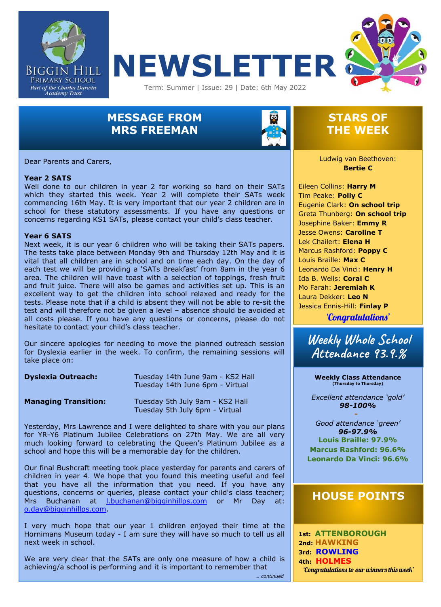





# **MESSAGE FROM MRS FREEMAN**



### **STARS OF THE WEEK**

Dear Parents and Carers,

#### **Year 2 SATS**

 Well done to our children in year 2 for working so hard on their SATs which they started this week. Year 2 will complete their SATs week commencing 16th May. It is very important that our year 2 children are in school for these statutory assessments. If you have any questions or concerns regarding KS1 SATs, please contact your child's class teacher.

#### **Year 6 SATS**

Next week, it is our year 6 children who will be taking their SATs papers. The tests take place between Monday 9th and Thursday 12th May and it is vital that all children are in school and on time each day. On the day of each test we will be providing a 'SATs Breakfast' from 8am in the year 6 area. The children will have toast with a selection of toppings, fresh fruit and fruit juice. There will also be games and activities set up. This is an excellent way to get the children into school relaxed and ready for the tests. Please note that if a child is absent they will not be able to re-sit the test and will therefore not be given a level – absence should be avoided at all costs please. If you have any questions or concerns, please do not hesitate to contact your child's class teacher.

Our sincere apologies for needing to move the planned outreach session for Dyslexia earlier in the week. To confirm, the remaining sessions will take place on:

| <b>Dyslexia Outreach:</b>   | Tuesday 14th June 9am - KS2 Hall<br>Tuesday 14th June 6pm - Virtual |
|-----------------------------|---------------------------------------------------------------------|
| <b>Managing Transition:</b> | Tuesday 5th July 9am - KS2 Hall<br>Tuesday 5th July 6pm - Virtual   |

Yesterday, Mrs Lawrence and I were delighted to share with you our plans for YR-Y6 Platinum Jubilee Celebrations on 27th May. We are all very much looking forward to celebrating the Queen's Platinum Jubilee as a school and hope this will be a memorable day for the children.

Our final Bushcraft meeting took place yesterday for parents and carers of children in year 4. We hope that you found this meeting useful and feel that you have all the information that you need. If you have any questions, concerns or queries, please contact your child's class teacher; Mrs Buchanan at *I.buchanan@bigginhillps.com* or Mr Day at: [o.day@bigginhillps.com.](mailto:o.day@bigginhillps.com)

I very much hope that our year 1 children enjoyed their time at the Hornimans Museum today - I am sure they will have so much to tell us all next week in school.

We are very clear that the SATs are only one measure of how a child is achieving/a school is performing and it is important to remember that

Ludwig van Beethoven: **Bertie C**

 Josephine Baker: **Emmy R** Eileen Collins: **Harry M** Tim Peake: **Polly C** Eugenie Clark: **On school trip** Greta Thunberg: **On school trip** Jesse Owens: **Caroline T** Lek Chailert: **Elena H** Marcus Rashford: **Poppy C** Louis Braille: **Max C** Leonardo Da Vinci: **Henry H** Ida B. Wells: **Coral C** Mo Farah: **Jeremiah K** Laura Dekker: **Leo N** Jessica Ennis-Hill: **Finlay P**

'Congratulations'

**Weekly Whole School Attendance 93.9.%**

**Weekly Class Attendance (Thursday to Thursday)**

*Excellent attendance 'gold' 98-100%*

**Louis Braille: 97.9% -** *Good attendance 'green' 96-97.9%* **Marcus Rashford: 96.6% Leonardo Da Vinci: 96.6%**

### **HOUSE POINTS**

**1st: ATTENBOROUGH 2nd: HAWKING 3rd: ROWLING 4th: HOLMES** 'Congratulations to our winners this week'